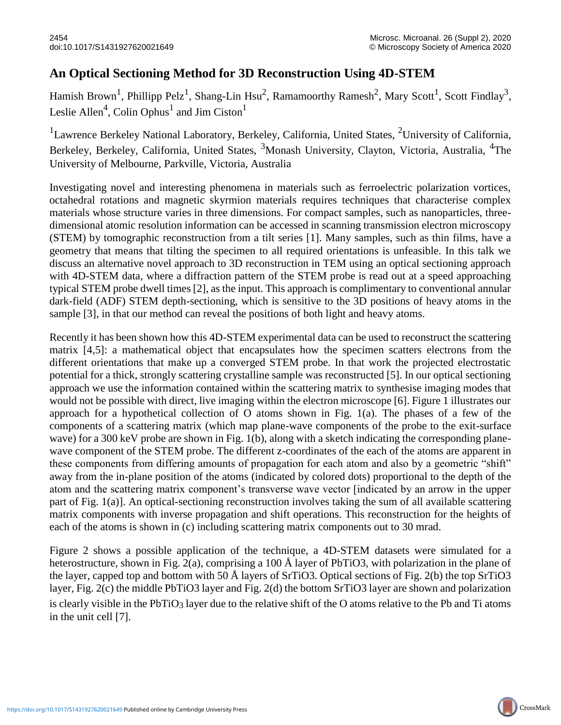## **An Optical Sectioning Method for 3D Reconstruction Using 4D-STEM**

Hamish Brown<sup>1</sup>, Phillipp Pelz<sup>1</sup>, Shang-Lin Hsu<sup>2</sup>, Ramamoorthy Ramesh<sup>2</sup>, Mary Scott<sup>1</sup>, Scott Findlay<sup>3</sup>, Leslie Allen<sup>4</sup>, Colin Ophus<sup>1</sup> and Jim Ciston<sup>1</sup>

<sup>1</sup>Lawrence Berkeley National Laboratory, Berkeley, California, United States, <sup>2</sup>University of California, Berkeley, Berkeley, California, United States, <sup>3</sup>Monash University, Clayton, Victoria, Australia, <sup>4</sup>The University of Melbourne, Parkville, Victoria, Australia

Investigating novel and interesting phenomena in materials such as ferroelectric polarization vortices, octahedral rotations and magnetic skyrmion materials requires techniques that characterise complex materials whose structure varies in three dimensions. For compact samples, such as nanoparticles, threedimensional atomic resolution information can be accessed in scanning transmission electron microscopy (STEM) by tomographic reconstruction from a tilt series [1]. Many samples, such as thin films, have a geometry that means that tilting the specimen to all required orientations is unfeasible. In this talk we discuss an alternative novel approach to 3D reconstruction in TEM using an optical sectioning approach with 4D-STEM data, where a diffraction pattern of the STEM probe is read out at a speed approaching typical STEM probe dwell times [2], as the input. This approach is complimentary to conventional annular dark-field (ADF) STEM depth-sectioning, which is sensitive to the 3D positions of heavy atoms in the sample [3], in that our method can reveal the positions of both light and heavy atoms.

Recently it has been shown how this 4D-STEM experimental data can be used to reconstruct the scattering matrix [4,5]: a mathematical object that encapsulates how the specimen scatters electrons from the different orientations that make up a converged STEM probe. In that work the projected electrostatic potential for a thick, strongly scattering crystalline sample was reconstructed [5]. In our optical sectioning approach we use the information contained within the scattering matrix to synthesise imaging modes that would not be possible with direct, live imaging within the electron microscope [6]. Figure 1 illustrates our approach for a hypothetical collection of O atoms shown in Fig. 1(a). The phases of a few of the components of a scattering matrix (which map plane-wave components of the probe to the exit-surface wave) for a 300 keV probe are shown in Fig. 1(b), along with a sketch indicating the corresponding planewave component of the STEM probe. The different z-coordinates of the each of the atoms are apparent in these components from differing amounts of propagation for each atom and also by a geometric "shift" away from the in-plane position of the atoms (indicated by colored dots) proportional to the depth of the atom and the scattering matrix component's transverse wave vector [indicated by an arrow in the upper part of Fig. 1(a)]. An optical-sectioning reconstruction involves taking the sum of all available scattering matrix components with inverse propagation and shift operations. This reconstruction for the heights of each of the atoms is shown in (c) including scattering matrix components out to 30 mrad.

Figure 2 shows a possible application of the technique, a 4D-STEM datasets were simulated for a heterostructure, shown in Fig. 2(a), comprising a 100 Å layer of PbTiO3, with polarization in the plane of the layer, capped top and bottom with 50 Å layers of SrTiO3. Optical sections of Fig. 2(b) the top SrTiO3 layer, Fig. 2(c) the middle PbTiO3 layer and Fig. 2(d) the bottom SrTiO3 layer are shown and polarization is clearly visible in the PbTiO3 layer due to the relative shift of the O atoms relative to the Pb and Ti atoms in the unit cell [7].